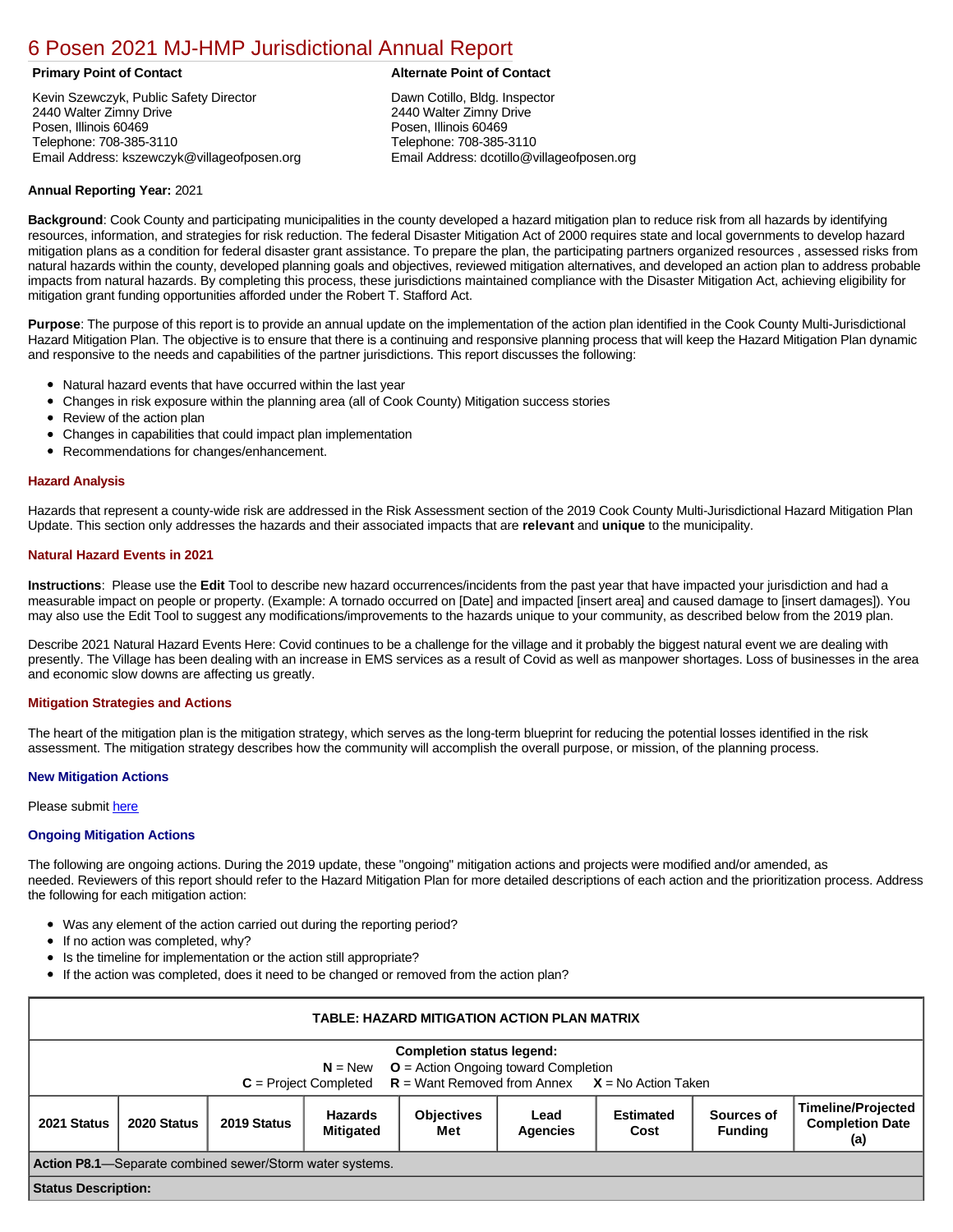# [6 Posen 2021 MJ-HMP Jurisdictional Annual Report](https://posen.isc-cemp.com/Cemp/Details?id=8322869)

Kevin Szewczyk, Public Safety Director 2440 Walter Zimny Drive Posen, Illinois 60469 Telephone: 708-385-3110 Email Address: kszewczyk@villageofposen.org

# **Primary Point of Contact Alternate Point of Contact**

Dawn Cotillo, Bldg. Inspector 2440 Walter Zimny Drive Posen, Illinois 60469 Telephone: 708-385-3110 Email Address: dcotillo@villageofposen.org

# **Annual Reporting Year:** 2021

**Background**: Cook County and participating municipalities in the county developed a hazard mitigation plan to reduce risk from all hazards by identifying resources, information, and strategies for risk reduction. The federal Disaster Mitigation Act of 2000 requires state and local governments to develop hazard mitigation plans as a condition for federal disaster grant assistance. To prepare the plan, the participating partners organized resources , assessed risks from natural hazards within the county, developed planning goals and objectives, reviewed mitigation alternatives, and developed an action plan to address probable impacts from natural hazards. By completing this process, these jurisdictions maintained compliance with the Disaster Mitigation Act, achieving eligibility for mitigation grant funding opportunities afforded under the Robert T. Stafford Act.

**Purpose**: The purpose of this report is to provide an annual update on the implementation of the action plan identified in the Cook County Multi-Jurisdictional Hazard Mitigation Plan. The objective is to ensure that there is a continuing and responsive planning process that will keep the Hazard Mitigation Plan dynamic and responsive to the needs and capabilities of the partner jurisdictions. This report discusses the following:

- Natural hazard events that have occurred within the last year
- $\bullet$ Changes in risk exposure within the planning area (all of Cook County) Mitigation success stories
- Review of the action plan  $\bullet$
- $\bullet$ Changes in capabilities that could impact plan implementation
- Recommendations for changes/enhancement.  $\bullet$

### **Hazard Analysis**

Hazards that represent a county-wide risk are addressed in the Risk Assessment section of the 2019 Cook County Multi-Jurisdictional Hazard Mitigation Plan Update. This section only addresses the hazards and their associated impacts that are **relevant** and **unique** to the municipality.

# **Natural Hazard Events in 2021**

**Instructions**: Please use the **Edit** Tool to describe new hazard occurrences/incidents from the past year that have impacted your jurisdiction and had a measurable impact on people or property. (Example: A tornado occurred on [Date] and impacted [insert area] and caused damage to [insert damages]). You may also use the Edit Tool to suggest any modifications/improvements to the hazards unique to your community, as described below from the 2019 plan.

Describe 2021 Natural Hazard Events Here: Covid continues to be a challenge for the village and it probably the biggest natural event we are dealing with presently. The Village has been dealing with an increase in EMS services as a result of Covid as well as manpower shortages. Loss of businesses in the area and economic slow downs are affecting us greatly.

# **Mitigation Strategies and Actions**

The heart of the mitigation plan is the mitigation strategy, which serves as the long-term blueprint for reducing the potential losses identified in the risk assessment. The mitigation strategy describes how the community will accomplish the overall purpose, or mission, of the planning process.

### **New Mitigation Actions**

Please submit [here](https://integratedsolutions.wufoo.com/forms/mg21jvf0jn639o/)

# **Ongoing Mitigation Actions**

The following are ongoing actions. During the 2019 update, these "ongoing" mitigation actions and projects were modified and/or amended, as needed. Reviewers of this report should refer to the Hazard Mitigation Plan for more detailed descriptions of each action and the prioritization process. Address the following for each mitigation action:

- Was any element of the action carried out during the reporting period?
- If no action was completed, why?  $\bullet$
- Is the timeline for implementation or the action still appropriate?
- If the action was completed, does it need to be changed or removed from the action plan?

| TABLE: HAZARD MITIGATION ACTION PLAN MATRIX                                                                                                                   |             |             |                                    |                          |                         |                          |                              |                                                            |  |
|---------------------------------------------------------------------------------------------------------------------------------------------------------------|-------------|-------------|------------------------------------|--------------------------|-------------------------|--------------------------|------------------------------|------------------------------------------------------------|--|
| <b>Completion status legend:</b><br>$N = New$ $Q = Action O$ and $C$ ompletion<br>$C =$ Project Completed $R =$ Want Removed from Annex $X =$ No Action Taken |             |             |                                    |                          |                         |                          |                              |                                                            |  |
| 2021 Status                                                                                                                                                   | 2020 Status | 2019 Status | <b>Hazards</b><br><b>Mitigated</b> | <b>Objectives</b><br>Met | Lead<br><b>Agencies</b> | <b>Estimated</b><br>Cost | Sources of<br><b>Funding</b> | <b>Timeline/Projected</b><br><b>Completion Date</b><br>(a) |  |
| <b>Action P8.1</b> —Separate combined sewer/Storm water systems.                                                                                              |             |             |                                    |                          |                         |                          |                              |                                                            |  |
| <b>Status Description:</b>                                                                                                                                    |             |             |                                    |                          |                         |                          |                              |                                                            |  |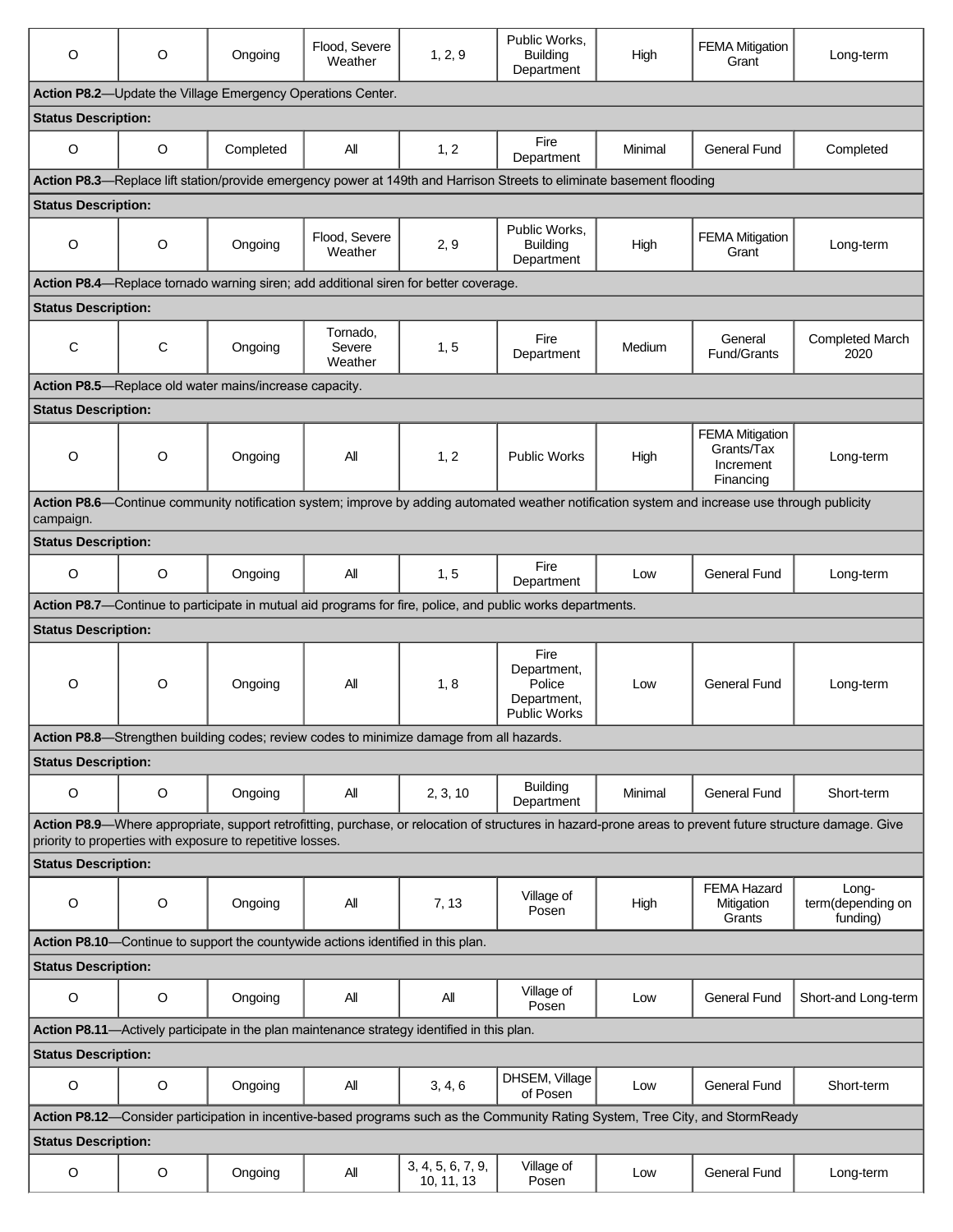| $\circ$                                                                                                                                                                                                                 | $\circ$ | Ongoing                                                | Flood, Severe<br>Weather      | 1, 2, 9                                                                                  | Public Works,<br><b>Building</b><br>Department                                                                        | High    | <b>FEMA Mitigation</b><br>Grant                                | Long-term                              |  |
|-------------------------------------------------------------------------------------------------------------------------------------------------------------------------------------------------------------------------|---------|--------------------------------------------------------|-------------------------------|------------------------------------------------------------------------------------------|-----------------------------------------------------------------------------------------------------------------------|---------|----------------------------------------------------------------|----------------------------------------|--|
| Action P8.2-Update the Village Emergency Operations Center.                                                                                                                                                             |         |                                                        |                               |                                                                                          |                                                                                                                       |         |                                                                |                                        |  |
| <b>Status Description:</b>                                                                                                                                                                                              |         |                                                        |                               |                                                                                          |                                                                                                                       |         |                                                                |                                        |  |
| $\circ$                                                                                                                                                                                                                 | $\circ$ | Completed                                              | All                           | 1, 2                                                                                     | Fire<br>Department                                                                                                    | Minimal | General Fund                                                   | Completed                              |  |
|                                                                                                                                                                                                                         |         |                                                        |                               |                                                                                          | Action P8.3-Replace lift station/provide emergency power at 149th and Harrison Streets to eliminate basement flooding |         |                                                                |                                        |  |
| <b>Status Description:</b>                                                                                                                                                                                              |         |                                                        |                               |                                                                                          |                                                                                                                       |         |                                                                |                                        |  |
| O                                                                                                                                                                                                                       | $\circ$ | Ongoing                                                | Flood, Severe<br>Weather      | 2, 9                                                                                     | Public Works,<br><b>Building</b><br>Department                                                                        | High    | <b>FEMA Mitigation</b><br>Grant                                | Long-term                              |  |
|                                                                                                                                                                                                                         |         |                                                        |                               | Action P8.4—Replace tornado warning siren; add additional siren for better coverage.     |                                                                                                                       |         |                                                                |                                        |  |
| <b>Status Description:</b>                                                                                                                                                                                              |         |                                                        |                               |                                                                                          |                                                                                                                       |         |                                                                |                                        |  |
| C                                                                                                                                                                                                                       | C       | Ongoing                                                | Tornado,<br>Severe<br>Weather | 1, 5                                                                                     | Fire<br>Department                                                                                                    | Medium  | General<br>Fund/Grants                                         | <b>Completed March</b><br>2020         |  |
|                                                                                                                                                                                                                         |         | Action P8.5-Replace old water mains/increase capacity. |                               |                                                                                          |                                                                                                                       |         |                                                                |                                        |  |
| <b>Status Description:</b>                                                                                                                                                                                              |         |                                                        |                               |                                                                                          |                                                                                                                       |         |                                                                |                                        |  |
| O                                                                                                                                                                                                                       | $\circ$ | Ongoing                                                | All                           | 1, 2                                                                                     | <b>Public Works</b>                                                                                                   | High    | <b>FEMA Mitigation</b><br>Grants/Tax<br>Increment<br>Financing | Long-term                              |  |
| Action P8.6—Continue community notification system; improve by adding automated weather notification system and increase use through publicity                                                                          |         |                                                        |                               |                                                                                          |                                                                                                                       |         |                                                                |                                        |  |
| campaign.                                                                                                                                                                                                               |         |                                                        |                               |                                                                                          |                                                                                                                       |         |                                                                |                                        |  |
| <b>Status Description:</b>                                                                                                                                                                                              |         |                                                        |                               |                                                                                          |                                                                                                                       |         |                                                                |                                        |  |
| O                                                                                                                                                                                                                       | O       | Ongoing                                                | All                           | 1, 5                                                                                     | Fire<br>Department                                                                                                    | Low     | <b>General Fund</b>                                            | Long-term                              |  |
|                                                                                                                                                                                                                         |         |                                                        |                               |                                                                                          | Action P8.7-Continue to participate in mutual aid programs for fire, police, and public works departments.            |         |                                                                |                                        |  |
| <b>Status Description:</b>                                                                                                                                                                                              |         |                                                        |                               |                                                                                          |                                                                                                                       |         |                                                                |                                        |  |
| O                                                                                                                                                                                                                       | O       | Ongoing                                                | All                           | 1, 8                                                                                     | Fire<br>Department,<br>Police<br>Department.<br><b>Public Works</b>                                                   | Low     | General Fund                                                   | Long-term                              |  |
|                                                                                                                                                                                                                         |         |                                                        |                               | Action P8.8—Strengthen building codes; review codes to minimize damage from all hazards. |                                                                                                                       |         |                                                                |                                        |  |
| <b>Status Description:</b>                                                                                                                                                                                              |         |                                                        |                               |                                                                                          |                                                                                                                       |         |                                                                |                                        |  |
| O                                                                                                                                                                                                                       | $\circ$ | Ongoing                                                | All                           | 2, 3, 10                                                                                 | <b>Building</b><br>Department                                                                                         | Minimal | General Fund                                                   | Short-term                             |  |
| Action P8.9—Where appropriate, support retrofitting, purchase, or relocation of structures in hazard-prone areas to prevent future structure damage. Give<br>priority to properties with exposure to repetitive losses. |         |                                                        |                               |                                                                                          |                                                                                                                       |         |                                                                |                                        |  |
| <b>Status Description:</b>                                                                                                                                                                                              |         |                                                        |                               |                                                                                          |                                                                                                                       |         |                                                                |                                        |  |
| O                                                                                                                                                                                                                       | O       | Ongoing                                                | All                           | 7, 13                                                                                    | Village of<br>Posen                                                                                                   | High    | <b>FEMA Hazard</b><br>Mitigation<br>Grants                     | Long-<br>term(depending on<br>funding) |  |
| Action P8.10-Continue to support the countywide actions identified in this plan.                                                                                                                                        |         |                                                        |                               |                                                                                          |                                                                                                                       |         |                                                                |                                        |  |
| <b>Status Description:</b>                                                                                                                                                                                              |         |                                                        |                               |                                                                                          |                                                                                                                       |         |                                                                |                                        |  |
| $\mathsf O$                                                                                                                                                                                                             | $\circ$ | Ongoing                                                | All                           | All                                                                                      | Village of<br>Posen                                                                                                   | Low     | <b>General Fund</b>                                            | Short-and Long-term                    |  |
| Action P8.11-Actively participate in the plan maintenance strategy identified in this plan.                                                                                                                             |         |                                                        |                               |                                                                                          |                                                                                                                       |         |                                                                |                                        |  |
| <b>Status Description:</b>                                                                                                                                                                                              |         |                                                        |                               |                                                                                          |                                                                                                                       |         |                                                                |                                        |  |
| O                                                                                                                                                                                                                       | O       | Ongoing                                                | All                           | 3, 4, 6                                                                                  | DHSEM, Village<br>of Posen                                                                                            | Low     | <b>General Fund</b>                                            | Short-term                             |  |
| Action P8.12-Consider participation in incentive-based programs such as the Community Rating System, Tree City, and StormReady                                                                                          |         |                                                        |                               |                                                                                          |                                                                                                                       |         |                                                                |                                        |  |
| <b>Status Description:</b>                                                                                                                                                                                              |         |                                                        |                               |                                                                                          |                                                                                                                       |         |                                                                |                                        |  |
| O                                                                                                                                                                                                                       | $\circ$ | Ongoing                                                | All                           | 3, 4, 5, 6, 7, 9,<br>10, 11, 13                                                          | Village of<br>Posen                                                                                                   | Low     | General Fund                                                   | Long-term                              |  |